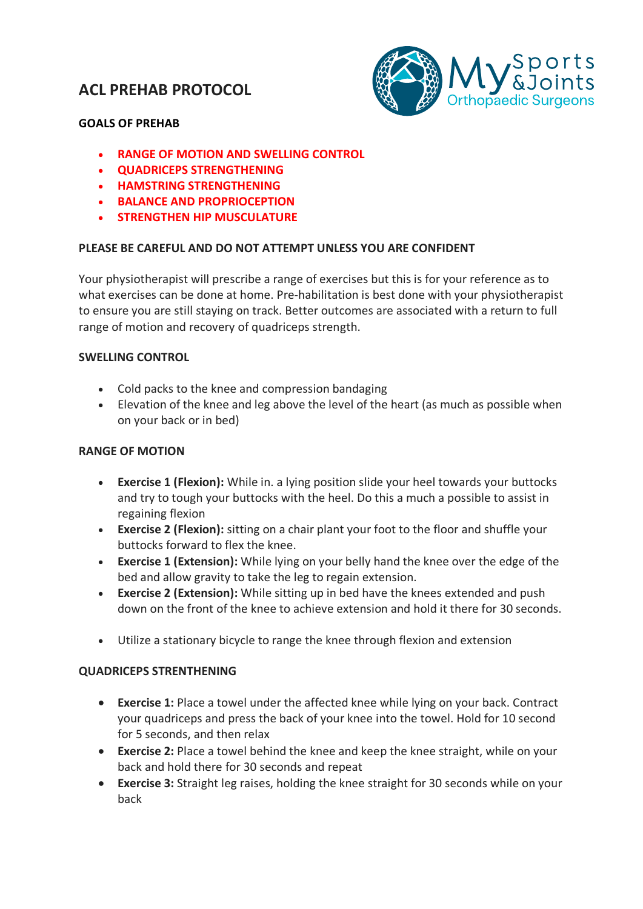# **ACL PREHAB PROTOCOL**



## **GOALS OF PREHAB**

- **RANGE OF MOTION AND SWELLING CONTROL**
- **QUADRICEPS STRENGTHENING**
- **HAMSTRING STRENGTHENING**
- **BALANCE AND PROPRIOCEPTION**
- **STRENGTHEN HIP MUSCULATURE**

## **PLEASE BE CAREFUL AND DO NOT ATTEMPT UNLESS YOU ARE CONFIDENT**

Your physiotherapist will prescribe a range of exercises but this is for your reference as to what exercises can be done at home. Pre-habilitation is best done with your physiotherapist to ensure you are still staying on track. Better outcomes are associated with a return to full range of motion and recovery of quadriceps strength.

### **SWELLING CONTROL**

- Cold packs to the knee and compression bandaging
- Elevation of the knee and leg above the level of the heart (as much as possible when on your back or in bed)

## **RANGE OF MOTION**

- **Exercise 1 (Flexion):** While in. a lying position slide your heel towards your buttocks and try to tough your buttocks with the heel. Do this a much a possible to assist in regaining flexion
- **Exercise 2 (Flexion):** sitting on a chair plant your foot to the floor and shuffle your buttocks forward to flex the knee.
- **Exercise 1 (Extension):** While lying on your belly hand the knee over the edge of the bed and allow gravity to take the leg to regain extension.
- **Exercise 2 (Extension):** While sitting up in bed have the knees extended and push down on the front of the knee to achieve extension and hold it there for 30 seconds.
- Utilize a stationary bicycle to range the knee through flexion and extension

### **QUADRICEPS STRENTHENING**

- **Exercise 1:** Place a towel under the affected knee while lying on your back. Contract your quadriceps and press the back of your knee into the towel. Hold for 10 second for 5 seconds, and then relax
- **Exercise 2:** Place a towel behind the knee and keep the knee straight, while on your back and hold there for 30 seconds and repeat
- **Exercise 3:** Straight leg raises, holding the knee straight for 30 seconds while on your back